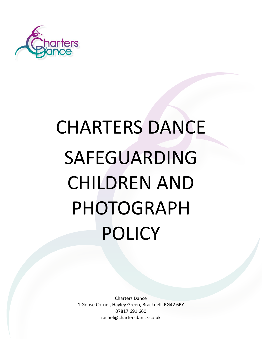

# CHARTERS DANCE SAFEGUARDING CHILDREN AND PHOTOGRAPH POLICY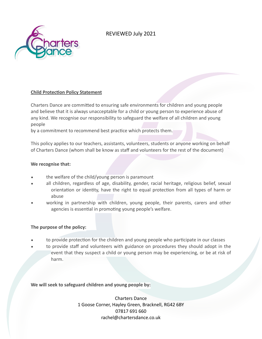

# REVIEWED July 2021

# **Child Protection Policy Statement**

Charters Dance are committed to ensuring safe environments for children and young people and believe that it is always unacceptable for a child or young person to experience abuse of any kind. We recognise our responsibility to safeguard the welfare of all children and young people

by a commitment to recommend best practice which protects them.

This policy applies to our teachers, assistants, volunteers, students or anyone working on behalf of Charters Dance (whom shall be know as staff and volunteers for the rest of the document)

#### **We recognise that:**

- the welfare of the child/young person is paramount
- all children, regardless of age, disability, gender, racial heritage, religious belief, sexual orientation or identity, have the right to equal protection from all types of harm or abuse
- working in partnership with children, young people, their parents, carers and other agencies is essential in promoting young people's welfare.

#### **The purpose of the policy:**

- to provide protection for the children and young people who participate in our classes
- to provide staff and volunteers with guidance on procedures they should adopt in the event that they suspect a child or young person may be experiencing, or be at risk of harm.

**We will seek to safeguard children and young people by:**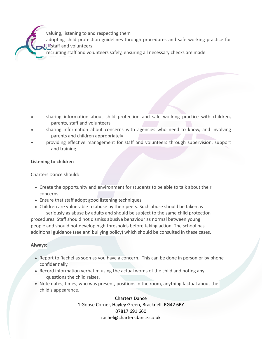valuing, listening to and respecting them adopting child protection guidelines through procedures and safe working practice for I'staff and volunteers recruiting staff and volunteers safely, ensuring all necessary checks are made

- sharing information about child protection and safe working practice with children, parents, staff and volunteers
- sharing information about concerns with agencies who need to know, and involving parents and children appropriately
- providing effective management for staff and volunteers through supervision, support and training.

# **Listening to children**

Charters Dance should:

- Create the opportunity and environment for students to be able to talk about their concerns
- Ensure that staff adopt good listening techniques
- Children are vulnerable to abuse by their peers. Such abuse should be taken as seriously as abuse by adults and should be subject to the same child protection

procedures. Staff should not dismiss abusive behaviour as normal between young people and should not develop high thresholds before taking action. The school has additional guidance (see anti bullying policy) which should be consulted in these cases.

#### **Always:**

- Report to Rachel as soon as you have a concern. This can be done in person or by phone confidentially.
- Record information verbatim using the actual words of the child and noting any questions the child raises.
- Note dates, times, who was present, positions in the room, anything factual about the child's appearance.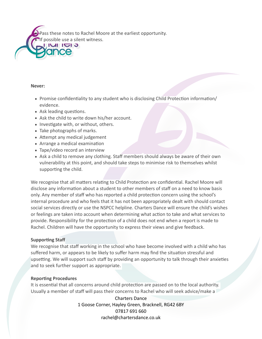s these notes to Rachel Moore at the earliest opportunity. possible use a silent witness.

#### **Never:**

- Promise confidentiality to any student who is disclosing Child Protection information/ evidence.
- Ask leading questions.
- Ask the child to write down his/her account.
- Investigate with, or without, others.
- Take photographs of marks.
- Attempt any medical judgement
- Arrange a medical examination
- Tape/video record an interview
- Ask a child to remove any clothing. Staff members should always be aware of their own vulnerability at this point, and should take steps to minimise risk to themselves whilst supporting the child.

We recognise that all matters relating to Child Protection are confidential. Rachel Moore will disclose any information about a student to other members of staff on a need to know basis only. Any member of staff who has reported a child protection concern using the school's internal procedure and who feels that it has not been appropriately dealt with should contact social services directly or use the NSPCC helpline. Charters Dance will ensure the child's wishes or feelings are taken into account when determining what action to take and what services to provide. Responsibility for the protection of a child does not end when a report is made to Rachel. Children will have the opportunity to express their views and give feedback.

#### **Supporting Staff**

We recognise that staff working in the school who have become involved with a child who has suffered harm, or appears to be likely to suffer harm may find the situation stressful and upsetting. We will support such staff by providing an opportunity to talk through their anxieties and to seek further support as appropriate.

#### **Reporting Procedures**

It is essential that all concerns around child protection are passed on to the local authority. Usually a member of staff will pass their concerns to Rachel who will seek advice/make a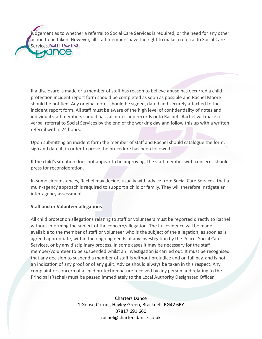judgement as to whether a referral to Social Care Services is required, or the need for any other action to be taken. However, all staff members have the right to make a referral to Social Care



If a disclosure is made or a member of staff has reason to believe abuse has occurred a child protection incident report form should be completed as soon as possible and Rachel Moore should be notified. Any original notes should be signed, dated and securely attached to the incident report form. All staff must be aware of the high level of confidentiality of notes and individual staff members should pass all notes and records onto Rachel . Rachel will make a verbal referral to Social Services by the end of the working day and follow this up with a written referral within 24 hours.

Upon submitting an incident form the member of staff and Rachel should catalogue the form, sign and date it, in order to prove the procedure has been followed.

If the child's situation does not appear to be improving, the staff member with concerns should press for reconsideration.

In some circumstances, Rachel may decide, usually with advice from Social Care Services, that a multi-agency approach is required to support a child or family. They will therefore instigate an inter-agency assessment.

#### **Staff and or Volunteer allegations**

All child protection allegations relating to staff or volunteers must be reported directly to Rachel without informing the subject of the concern/allegation. The full evidence will be made available to the member of staff or volunteer who is the subject of the allegation, as soon as is agreed appropriate, within the ongoing needs of any investigation by the Police, Social Care Services, or by any disciplinary process. In some cases it may be necessary for the staff member/volunteer to be suspended whilst an investigation is carried out. It must be recognised that any decision to suspend a member of staff is without prejudice and on full pay, and is not an indication of any proof or of any guilt. Advice should always be taken in this respect. Any complaint or concern of a child protection nature received by any person and relating to the Principal (Rachel) must be passed immediately to the Local Authority Designated Officer.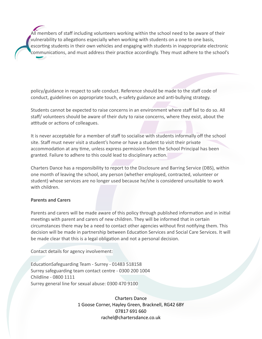nembers of staff including volunteers working within the school need to be aware of their vulnerability to allegations especially when working with students on a one to one basis, escorting students in their own vehicles and engaging with students in inappropriate electronic communications, and must address their practice accordingly. They must adhere to the school's

policy/guidance in respect to safe conduct. Reference should be made to the staff code of conduct, guidelines on appropriate touch, e-safety guidance and anti-bullying strategy.

Students cannot be expected to raise concerns in an environment where staff fail to do so. All staff/ volunteers should be aware of their duty to raise concerns, where they exist, about the attitude or actions of colleagues.

It is never acceptable for a member of staff to socialise with students informally off the school site. Staff must never visit a student's home or have a student to visit their private accommodation at any time, unless express permission from the School Principal has been granted. Failure to adhere to this could lead to disciplinary action.

Charters Dance has a responsibility to report to the Disclosure and Barring Service (DBS), within one month of leaving the school, any person (whether employed, contracted, volunteer or student) whose services are no longer used because he/she is considered unsuitable to work with children.

#### **Parents and Carers**

Parents and carers will be made aware of this policy through published information and in initial meetings with parent and carers of new children. They will be informed that in certain circumstances there may be a need to contact other agencies without first notifying them. This decision will be made in partnership between Education Services and Social Care Services. It will be made clear that this is a legal obligation and not a personal decision.

Contact details for agency involvement:

EducationSafeguarding Team - Surrey - 01483 518158 Surrey safeguarding team contact centre - 0300 200 1004 Childline - 0800 1111 Surrey general line for sexual abuse: 0300 470 9100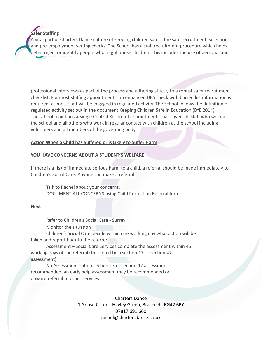# **Safer Staffing**

A vital part of Charters Dance culture of keeping children safe is the safe recruitment, selection and pre-employment vetting checks. The School has a staff recruitment procedure which helps deter, reject or identify people who might abuse children. This includes the use of personal and

professional interviews as part of the process and adhering strictly to a robust safer recruitment checklist. For most staffing appointments, an enhanced DBS check with barred list information is required, as most staff will be engaged in regulated activity. The School follows the definition of regulated activity set out in the document Keeping Children Safe in Education (DfE 2014). The school maintains a Single Central Record of appointments that covers all staff who work at the school and all others who work in regular contact with children at the school including volunteers and all members of the governing body.

# **Action When a Child has Suffered or is Likely to Suffer Harm**

## **YOU HAVE CONCERNS ABOUT A STUDENT'S WELFARE.**

If there is a risk of immediate serious harm to a child, a referral should be made immediately to Children's Social Care. Anyone can make a referral.

 Talk to Rachel about your concerns. DOCUMENT ALL CONCERNS using Child Protection Referral form.

#### **Next**

Refer to Children's Social Care - Surrey Monitor the situation Children's Social Care decide within one working day what action will be taken and report back to the referrer. Assessment – Social Care Services complete the assessment within 45 working days of the referral (this could be a section 17 or section 47 assessment)

No Assessment – if no section 17 or section 47 assessment is recommended, an early help assessment may be recommended or onward referral to other services.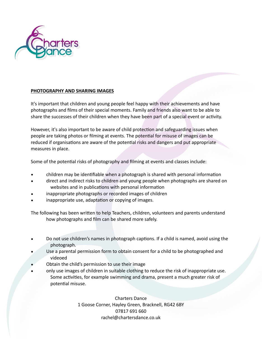

## **PHOTOGRAPHY AND SHARING IMAGES**

It's important that children and young people feel happy with their achievements and have photographs and films of their special moments. Family and friends also want to be able to share the successes of their children when they have been part of a special event or activity.

However, it's also important to be aware of child protection and [safeguarding](https://www.nspcc.org.uk/preventing-abuse/safeguarding/) issues when people are taking photos or filming at events. The potential for misuse of images can be reduced if organisations are aware of the potential risks and dangers and put appropriate measures in place.

Some of the potential risks of photography and filming at events and classes include:

- children may be identifiable when a photograph is shared with personal information
- direct and indirect risks to children and young people when photographs are shared on websites and in publications with personal information
- inappropriate photographs or recorded images of children
- inappropriate use, adaptation or copying of images.

The following has been written to help Teachers, children, volunteers and parents understand how photographs and film can be shared more safely.

- Do not use children's names in photograph captions. If a child is named, avoid using the photograph.
- Use a parental permission form to obtain consent for a child to be photographed and videoed
- Obtain the child's permission to use their image
- only use images of children in suitable clothing to reduce the risk of inappropriate use. Some activities, for example swimming and drama, present a much greater risk of potential misuse.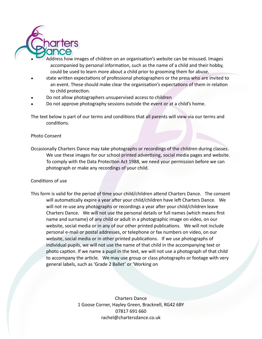

- Address how images of children on an organisation's website can be misused. Images accompanied by personal information, such as the name of a child and their hobby, could be used to learn more about a child prior to grooming them for abuse.
- state written expectations of professional photographers or the press who are invited to an event. These should make clear the organisation's expectations of them in relation to child protection.
- Do not allow photographers unsupervised access to children
- Do not approve photography sessions outside the event or at a child's home.

The text below is part of our terms and conditions that all parents will view via our terms and conditions.

#### Photo Consent

Occasionally Charters Dance may take photographs or recordings of the children during classes. We use these images for our school printed advertising, social media pages and website. To comply with the Data Protection Act 1988, we need your permission before we can photograph or make any recordings of your child.

#### Conditions of use

This form is valid for the period of time your child/children attend Charters Dance. The consent will automatically expire a year after your child/children have left Charters Dance. We will not re-use any photographs or recordings a year after your child/children leave Charters Dance. We will not use the personal details or full names (which means first name and surname) of any child or adult in a photographic image on video, on our website, social media or in any of our other printed publications. We will not include personal e-mail or postal addresses, or telephone or fax numbers on video, on our website, social media or in other printed publications. If we use photographs of individual pupils, we will not use the name of that child in the accompanying text or photo caption. If we name a pupil in the text, we will not use a photograph of that child to accompany the article. We may use group or class photographs or footage with very general labels, such as 'Grade 2 Ballet' or 'Working on